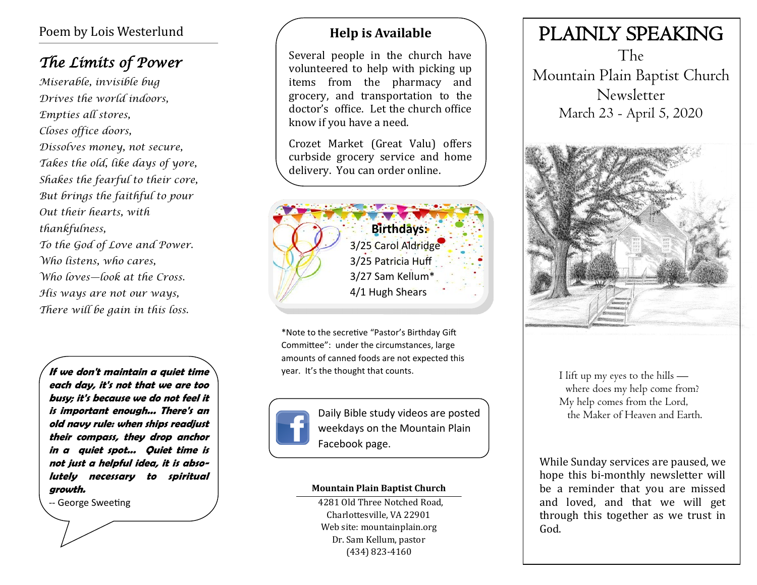## Poem by Lois Westerlund

# *The Limits of Power*

*Miserable, invisible bug Drives the world indoors, Empties all stores, Closes office doors, Dissolves money, not secure, Takes the old, like days of yore, Shakes the fearful to their core, But brings the faithful to pour Out their hearts, with thankfulness, To the God of Love and Power. Who listens, who cares, Who loves—look at the Cross. His ways are not our ways,* 

*There will be gain in this loss.*

**If we don't maintain a quiet time each day, it's not that we are too busy; it's because we do not feel it is important enough... There's an old navy rule: when ships readjust their compass, they drop anchor in a quiet spot... Quiet time is not just a helpful idea, it is absolutely necessary to spiritual growth.** 

*--* George Sweeting

## **Help is Available**

Several people in the church have volunteered to help with picking up items from the pharmacy and grocery, and transportation to the doctor's office. Let the church office know if you have a need.

Crozet Market (Great Valu) offers curbside grocery service and home delivery. You can order online.



\*Note to the secretive "Pastor's Birthday Gift Committee": under the circumstances, large amounts of canned foods are not expected this year. It's the thought that counts.



Daily Bible study videos are posted the Maker of Heaven and Earth. weekdays on the Mountain Plain Facebook page.

#### **Mountain Plain Baptist Church**

 4281 Old Three Notched Road, Charlottesville, VA 22901 Web site: mountainplain.org Dr. Sam Kellum, pastor (434) 823-4160

# PLAINLY SPEAKING

The Mountain Plain Baptist Church Newsletter March 23 - April 5, 2020



I lift up my eyes to the hills where does my help come from? My help comes from the Lord,

While Sunday services are paused, we hope this bi-monthly newsletter will be a reminder that you are missed and loved, and that we will get through this together as we trust in God.